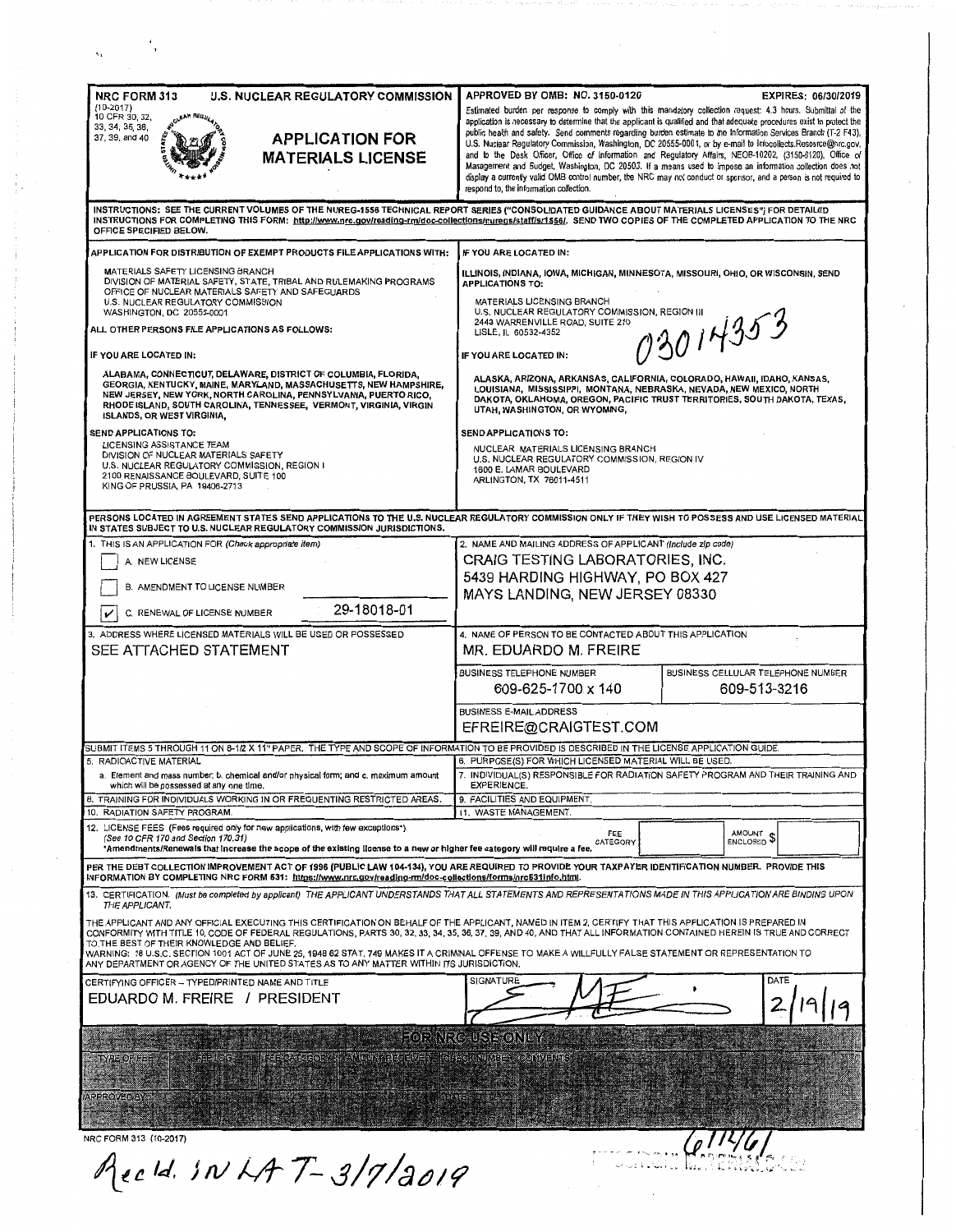| <b>NRC FORM 313</b><br><b>U.S. NUCLEAR REGULATORY COMMISSION</b><br>$(10-2017)$<br>10 CFR 30, 32,<br>6 A.B. REG <sub>LI</sub><br>33, 34, 35, 36,<br><b>APPLICATION FOR</b><br>37, 39, and 40<br><b>MATERIALS LICENSE</b>                                                                                                                                                                                                                                                                                                                                                                                                                                                                                                                                                                                                                                                                                                                      | APPROVED BY OMB: NO. 3150-0120<br>EXPIRES: 06/30/2019<br>Estimated burden per response to comply with this mandatory collection request: 4.3 hours. Submittal of the<br>application is necessary to determine that the applicant is qualified and that adequate procedures exist to protect the<br>public health and safety. Send comments regarding burden estimate to the Information Services Branch (T-2 F43),<br>U.S. Nuclear Regulatory Commission, Washington, DC 20555-0001, or by e-mail to Infocollects.Resource@nrc.gov,<br>and to the Desk Officer, Office of Information and Regulatory Affairs, NEOB-10202, (3150-0120), Office of<br>Management and Budget, Washington, DC 20503. If a means used to impose an information collection does not<br>display a currently valid OMB control number, the NRC may not conduct or sponsor, and a person is not required to<br>respond to, the information collection. |
|-----------------------------------------------------------------------------------------------------------------------------------------------------------------------------------------------------------------------------------------------------------------------------------------------------------------------------------------------------------------------------------------------------------------------------------------------------------------------------------------------------------------------------------------------------------------------------------------------------------------------------------------------------------------------------------------------------------------------------------------------------------------------------------------------------------------------------------------------------------------------------------------------------------------------------------------------|-------------------------------------------------------------------------------------------------------------------------------------------------------------------------------------------------------------------------------------------------------------------------------------------------------------------------------------------------------------------------------------------------------------------------------------------------------------------------------------------------------------------------------------------------------------------------------------------------------------------------------------------------------------------------------------------------------------------------------------------------------------------------------------------------------------------------------------------------------------------------------------------------------------------------------|
| OFFICE SPECIFIED BELOW.                                                                                                                                                                                                                                                                                                                                                                                                                                                                                                                                                                                                                                                                                                                                                                                                                                                                                                                       | INSTRUCTIONS: SEE THE CURRENT VOLUMES OF THE NUREG-1556 TECHNICAL REPORT SERIES ("CONSOLIDATED GUIDANCE ABOUT MATERIALS LICENSES") FOR DETAILED<br>INSTRUCTIONS FOR COMPLETING THIS FORM: http://www.nrc.gov/reading-rm/doc-collections/nuregs/staff/sr1556/. SEND TWO COPIES OF THE COMPLETED APPLICATION TO THE NRC                                                                                                                                                                                                                                                                                                                                                                                                                                                                                                                                                                                                         |
| APPLICATION FOR DISTRIBUTION OF EXEMPT PRODUCTS FILE APPLICATIONS WITH:<br><b>MATERIALS SAFETY LICENSING BRANCH</b><br>DIVISION OF MATERIAL SAFETY, STATE, TRIBAL AND RULEMAKING PROGRAMS<br>OFFICE OF NUCLEAR MATERIALS SAFETY AND SAFEGUARDS<br>U.S. NUCLEAR REGULATORY COMMISSION<br>WASHINGTON, DC 20555-0001<br>ALL OTHER PERSONS FILE APPLICATIONS AS FOLLOWS:<br>IF YOU ARE LOCATED IN:<br>ALABAMA, CONNECTICUT, DELAWARE, DISTRICT OF COLUMBIA, FLORIDA,<br>GEORGIA, KENTUCKY, MAINE, MARYLAND, MASSACHUSETTS, NEW HAMPSHIRE,<br>NEW JERSEY, NEW YORK, NORTH CAROLINA, PENNSYLVANIA, PUERTO RICO,<br>RHODE ISLAND, SOUTH CAROLINA, TENNESSEE, VERMONT, VIRGINIA, VIRGIN<br><b>ISLANDS, OR WEST VIRGINIA,</b><br>SEND APPLICATIONS TO:<br>LICENSING ASSISTANCE TEAM<br>DIVISION OF NUCLEAR MATERIALS SAFETY<br>U.S. NUCLEAR REGULATORY COMMISSION, REGION I<br>2100 RENAISSANCE BOULEVARD, SUITE 100<br>KING OF PRUSSIA, PA 19406-2713 | IF YOU ARE LOCATED IN:<br>ILLINOIS, INDIANA, IOWA, MICHIGAN, MINNESOTA, MISSOURI, OHIO, OR WISCONSIN, SEND<br><b>APPLICATIONS TO:</b><br>MATERIALS LICENSING BRANCH<br>U.S. NUCLEAR REGULATORY COMMISSION, REGION III<br>73014353<br>2443 WARRENVILLE ROAD, SUITE 210<br>LISLE, IL 60532-4352<br>IF YOU ARE LOCATED IN:<br>ALASKA, ARIZONA, ARKANSAS, CALIFORNIA, COLORADO, HAWAII, IDAHO, KANSAS,<br>LOUISIANA, MISSISSIPPI, MONTANA, NEBRASKA, NEVADA, NEW MEXICO, NORTH<br>DAKOTA, OKLAHOMA, OREGON, PACIFIC TRUST TERRITORIES, SOUTH DAKOTA, TEXAS,<br>UTAH, WASHINGTON, OR WYOMING,<br>SEND APPLICATIONS TO:<br>NUCLEAR MATERIALS LICENSING BRANCH<br>U.S. NUCLEAR REGULATORY COMMISSION, REGION IV<br>1600 E. LAMAR BOULEVARD<br>ARLINGTON, TX 76011-4511                                                                                                                                                               |
| IN STATES SUBJECT TO U.S. NUCLEAR REGULATORY COMMISSION JURISDICTIONS.<br>1. THIS IS AN APPLICATION FOR (Check appropriate item)<br>A. NEW LICENSE<br>B. AMENDMENT TO LICENSE NUMBER<br>29-18018-01<br>C. RENEWAL OF LICENSE NUMBER<br>v<br>3. ADDRESS WHERE LICENSED MATERIALS WILL BE USED OR POSSESSED                                                                                                                                                                                                                                                                                                                                                                                                                                                                                                                                                                                                                                     | PERSONS LOCATED IN AGREEMENT STATES SEND APPLICATIONS TO THE U.S. NUCLEAR REGULATORY COMMISSION ONLY IF THEY WISH TO POSSESS AND USE LICENSED MATERIAL<br>2. NAME AND MAILING ADDRESS OF APPLICANT (Include zip code)<br>CRAIG TESTING LABORATORIES, INC.<br>5439 HARDING HIGHWAY, PO BOX 427<br>MAYS LANDING, NEW JERSEY 08330<br>4. NAME OF PERSON TO BE CONTACTED ABOUT THIS APPLICATION                                                                                                                                                                                                                                                                                                                                                                                                                                                                                                                                   |
| SEE ATTACHED STATEMENT                                                                                                                                                                                                                                                                                                                                                                                                                                                                                                                                                                                                                                                                                                                                                                                                                                                                                                                        | MR. EDUARDO M. FREIRE<br>BUSINESS TELEPHONE NUMBER<br>BUSINESS CELLULAR TELEPHONE NUMBER<br>609-625-1700 x 140<br>609-513-3216<br><b>BUSINESS E-MAIL ADDRESS</b>                                                                                                                                                                                                                                                                                                                                                                                                                                                                                                                                                                                                                                                                                                                                                              |
| SUBMIT ITEMS 5 THROUGH 11 ON 8-1/2 X 11" PAPER. THE TYPE AND SCOPE OF INFORMATION TO BE PROVIDED IS DESCRIBED IN THE LICENSE APPLICATION GUIDE.<br>5. RADIOACTIVE MATERIAL<br>a. Element and mass number, b. chemical and/or physical form; and c. maximum amount<br>which will be possessed at any one time.<br>8. TRAINING FOR INDIVIDUALS WORKING IN OR FREQUENTING RESTRICTED AREAS.<br>10. RADIATION SAFETY PROGRAM.<br>12. LICENSE FEES (Fees required only for new applications, with few exceptions*)<br>(See 10 CFR 170 and Section 170.31)                                                                                                                                                                                                                                                                                                                                                                                          | EFREIRE@CRAIGTEST.COM<br>6. PURPOSE(S) FOR WHICH LICENSED MATERIAL WILL BE USED.<br>7. INDIVIDUAL(S) RESPONSIBLE FOR RADIATION SAFETY PROGRAM AND THEIR TRAINING AND<br><b>EXPERIENCE.</b><br>9. FACILITIES AND EQUIPMENT.<br>11. WASTE MANAGEMENT.<br>FEE<br>AMOUNT<br>ENCLOSED <sup>\$</sup><br>CATEGORY                                                                                                                                                                                                                                                                                                                                                                                                                                                                                                                                                                                                                    |
| *Amendments/Renewals that increase the scope of the existing license to a new or higher fee category will require a fee.<br>PER THE DEBT COLLECTION IMPROVEMENT ACT OF 1996 (PUBLIC LAW 104-134), YOU ARE REQUIRED TO PROVIDE YOUR TAXPAYER IDENTIFICATION NUMBER. PROVIDE THIS<br>INFORMATION BY COMPLETING NRC FORM 531: https://www.nrc.gov/reading-rm/doc-collections/forms/nrc531info.html.                                                                                                                                                                                                                                                                                                                                                                                                                                                                                                                                              |                                                                                                                                                                                                                                                                                                                                                                                                                                                                                                                                                                                                                                                                                                                                                                                                                                                                                                                               |
| THE APPLICANT.<br>THE APPLICANT AND ANY OFFICIAL EXECUTING THIS CERTIFICATION ON BEHALF OF THE APPLICANT, NAMED IN ITEM 2, CERTIFY THAT THIS APPLICATION IS PREPARED IN<br>TO THE BEST OF THEIR KNOWLEDGE AND BELIEF.<br>WARNING: 18 U.S.C. SECTION 1001 ACT OF JUNE 25, 1948 62 STAT. 749 MAKES IT A CRIMINAL OFFENSE TO MAKE A WILLFULLY FALSE STATEMENT OR REPRESENTATION TO<br>ANY DEPARTMENT OR AGENCY OF THE UNITED STATES AS TO ANY MATTER WITHIN ITS JURISDICTION.<br>CERTIFYING OFFICER -- TYPED/PRINTED NAME AND TITLE<br>EDUARDO M. FREIRE / PRESIDENT<br><b>EEEOC</b><br><b>MEGOR</b><br><b>I ANOUNTARE ENTER</b><br>PE OF FE                                                                                                                                                                                                                                                                                                     | 13. CERTIFICATION. (Must be completed by applicant) THE APPLICANT UNDERSTANDS THAT ALL STATEMENTS AND REPRESENTATIONS MADE IN THIS APPLICATION ARE BINDING UPON<br>CONFORMITY WITH TITLE 10, CODE OF FEDERAL REGULATIONS, PARTS 30, 32, 33, 34, 35, 36, 37, 39, AND 40, AND THAT ALL INFORMATION CONTAINED HEREIN IS TRUE AND CORRECT<br>DATE<br>SIGNATURE<br>FOR NRC USE ONLY<br><b>NOTEGKINGMBER FCOMMENTS</b>                                                                                                                                                                                                                                                                                                                                                                                                                                                                                                              |
| <b>PPROVED BY</b><br>NRC FORM 313 (10-2017)<br>Rec1d. SN LAT-3/7/2019                                                                                                                                                                                                                                                                                                                                                                                                                                                                                                                                                                                                                                                                                                                                                                                                                                                                         |                                                                                                                                                                                                                                                                                                                                                                                                                                                                                                                                                                                                                                                                                                                                                                                                                                                                                                                               |

 $\hat{\alpha}$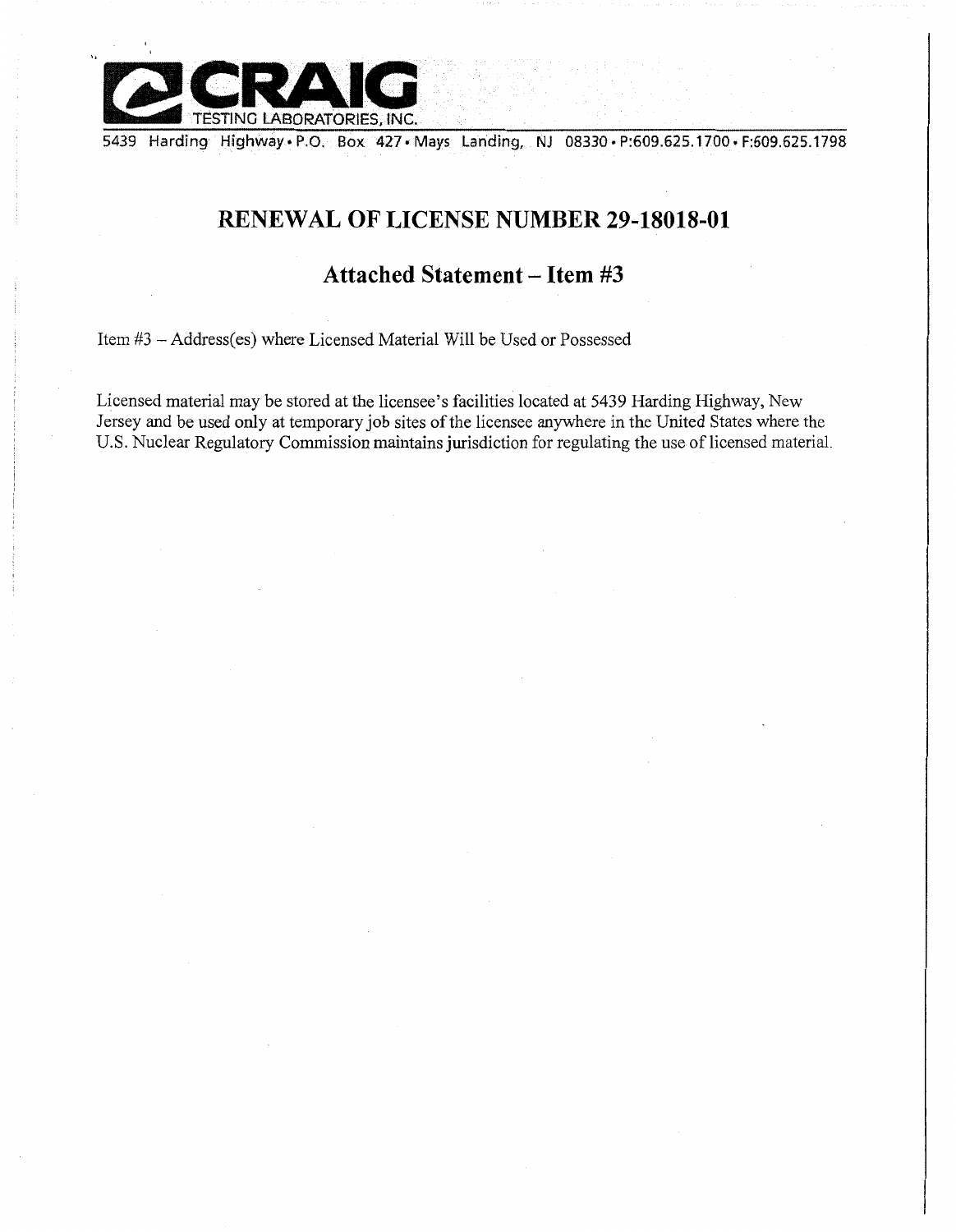

5439 Harding Highway• P.O. Box 427 • Mays Landing, NJ 08330 • P:609.625.1700 • F:609.625.1798

# **RENEWAL OF LICENSE NUMBER 29-18018-01**

## **Attached Statement - Item #3**

Item #3 -Address(es) where Licensed Material Will be Used or Possessed

Licensed material may be stored at the licensee's facilities located at 5439 Harding Highway, New Jersey and be used only at temporary job sites of the licensee anywhere in the United States where the U.S. Nuclear Regulatory Commission maintains jurisdiction for regulating the use of licensed material.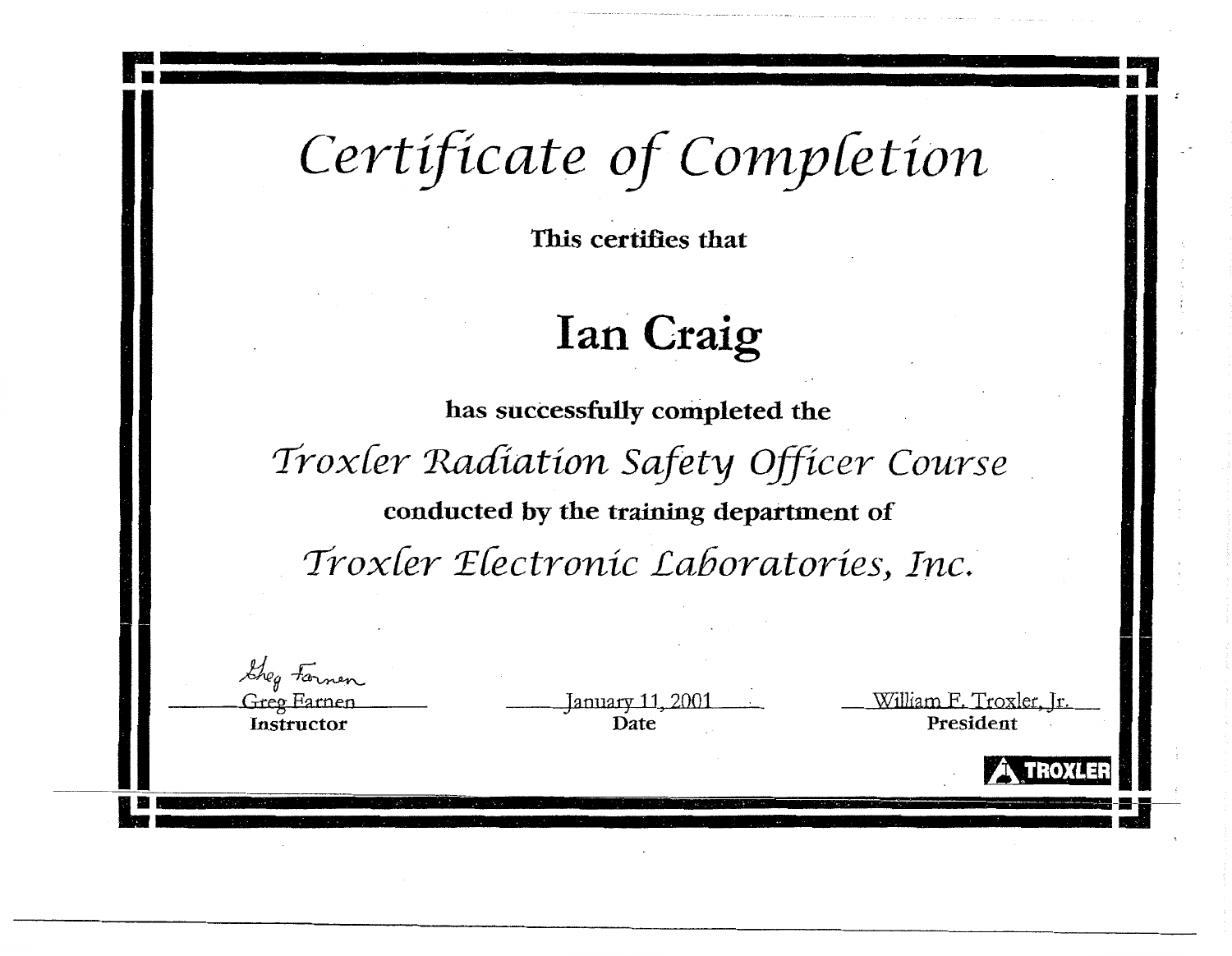*Certificate of Comy[etion* 

-'----------

**This certifies that** 

# **Ian Craig**

**has successfully completed the**  *Trox[er 'Radiation Safety Officer Course*  **conducted by the training department of**  *Trox[er '.Efectronic Laboratories, Inc.* 

> January 11, 2001 **Date**

William F. Troxler, Jr. President

*rs,* **;t • 1:n m j 1** 

.-,-- --· . -~-· **-:1-**

ia<br>Iza

*Lheg* Formen Greo Farnen **Instructor**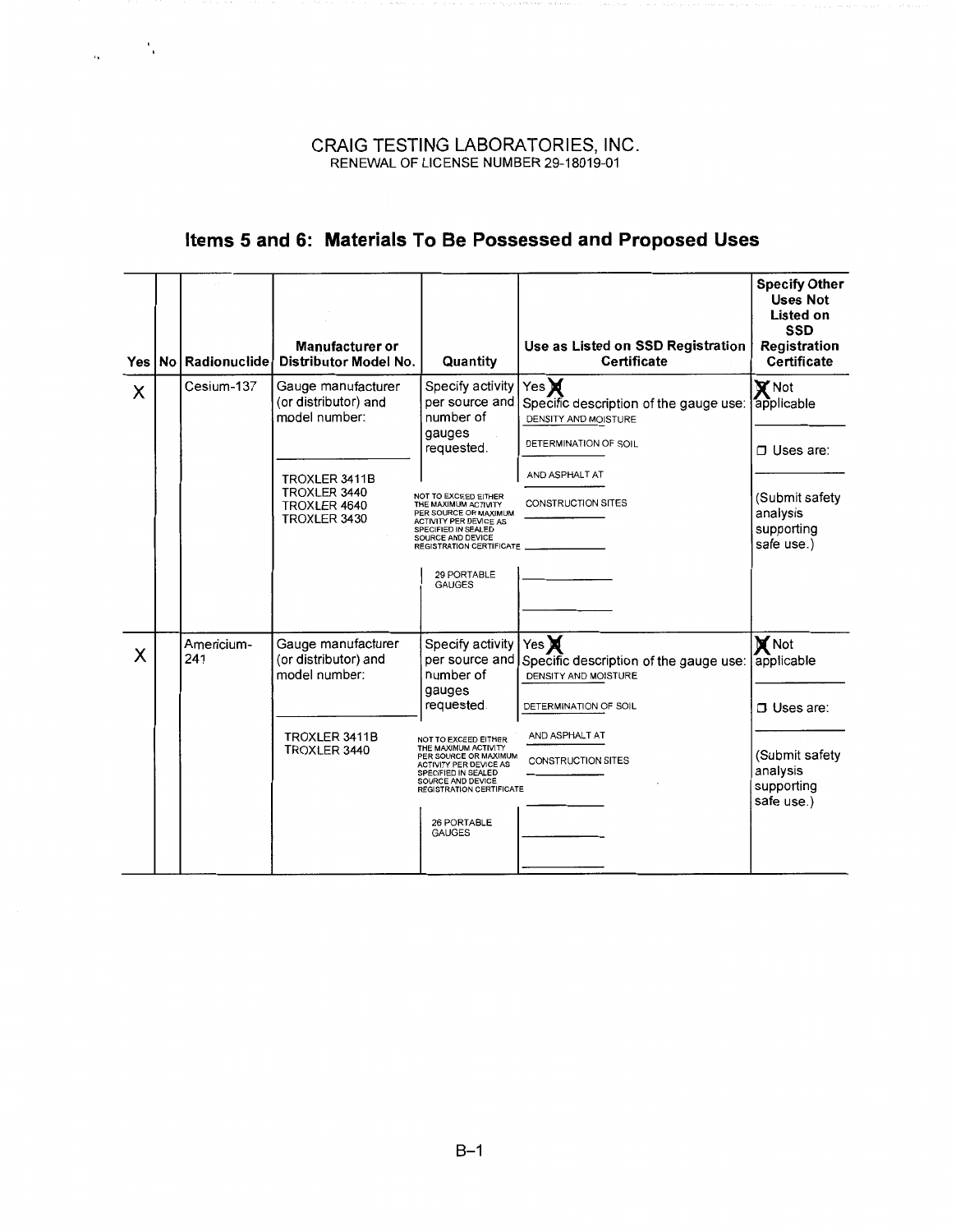$\frac{1}{2} \frac{1}{2} \left( \frac{1}{2} \right)^2$ 

# **Items 5 and 6: Materials To Be Possessed and Proposed Uses**

| Yes l |                   | Manufacturer or<br>No Radionuclide Distributor Model No.                                                                     | Quantity                                                                                                                                                                                                                                                                                         | Use as Listed on SSD Registration<br><b>Certificate</b>                                                                                                   | <b>Specify Other</b><br><b>Uses Not</b><br>Listed on<br><b>SSD</b><br>Registration<br>Certificate            |
|-------|-------------------|------------------------------------------------------------------------------------------------------------------------------|--------------------------------------------------------------------------------------------------------------------------------------------------------------------------------------------------------------------------------------------------------------------------------------------------|-----------------------------------------------------------------------------------------------------------------------------------------------------------|--------------------------------------------------------------------------------------------------------------|
| X     | Cesium-137        | Gauge manufacturer<br>(or distributor) and<br>model number:<br>TROXLER 3411B<br>TROXLER 3440<br>TROXLER 4640<br>TROXLER 3430 | Specify activity<br>per source and<br>number of<br>gauges<br>requested.<br>NOT TO EXCEED EITHER<br>THE MAXIMUM ACTIVITY<br>PER SOURCE OR MAXIMUM<br>ACTIVITY PER DEVICE AS<br>SPECIFIED IN SEALED<br>SOURCE AND DEVICE<br><b>REGISTRATION CERTIFICATE</b><br>29 PORTABLE<br><b>GAUGES</b>        | Yes $\bigtimes$<br>Specific description of the gauge use:<br>DENSITY AND MOISTURE<br>DETERMINATION OF SOIL<br>AND ASPHALT AT<br><b>CONSTRUCTION SITES</b> | $\mathbf{X}$ Not<br>applicable<br>$\Box$ Uses are:<br>(Submit safety<br>analysis<br>supporting<br>safe use.) |
| X     | Americium-<br>241 | Gauge manufacturer<br>(or distributor) and<br>model number:<br>TROXLER 3411B<br>TROXLER 3440                                 | Specify activity<br>per source and<br>number of<br>gauges<br>requested.<br>NOT TO EXCEED EITHER<br>THE MAXIMUM ACTIVITY<br>PER SOURCE OR MAXIMUM<br><b>ACTIVITY PER DEVICE AS</b><br>SPECIFIED IN SEALED<br>SOURCE AND DEVICE<br><b>REGISTRATION CERTIFICATE</b><br>26 PORTABLE<br><b>GAUGES</b> | $\forall$ es<br>Specific description of the gauge use:<br>DENSITY AND MOISTURE<br>DETERMINATION OF SOIL<br>AND ASPHALT AT<br><b>CONSTRUCTION SITES</b>    | <b>X</b> Not<br>applicable<br>$\Box$ Uses are:<br>(Submit safety<br>analysis<br>supporting<br>safe use.)     |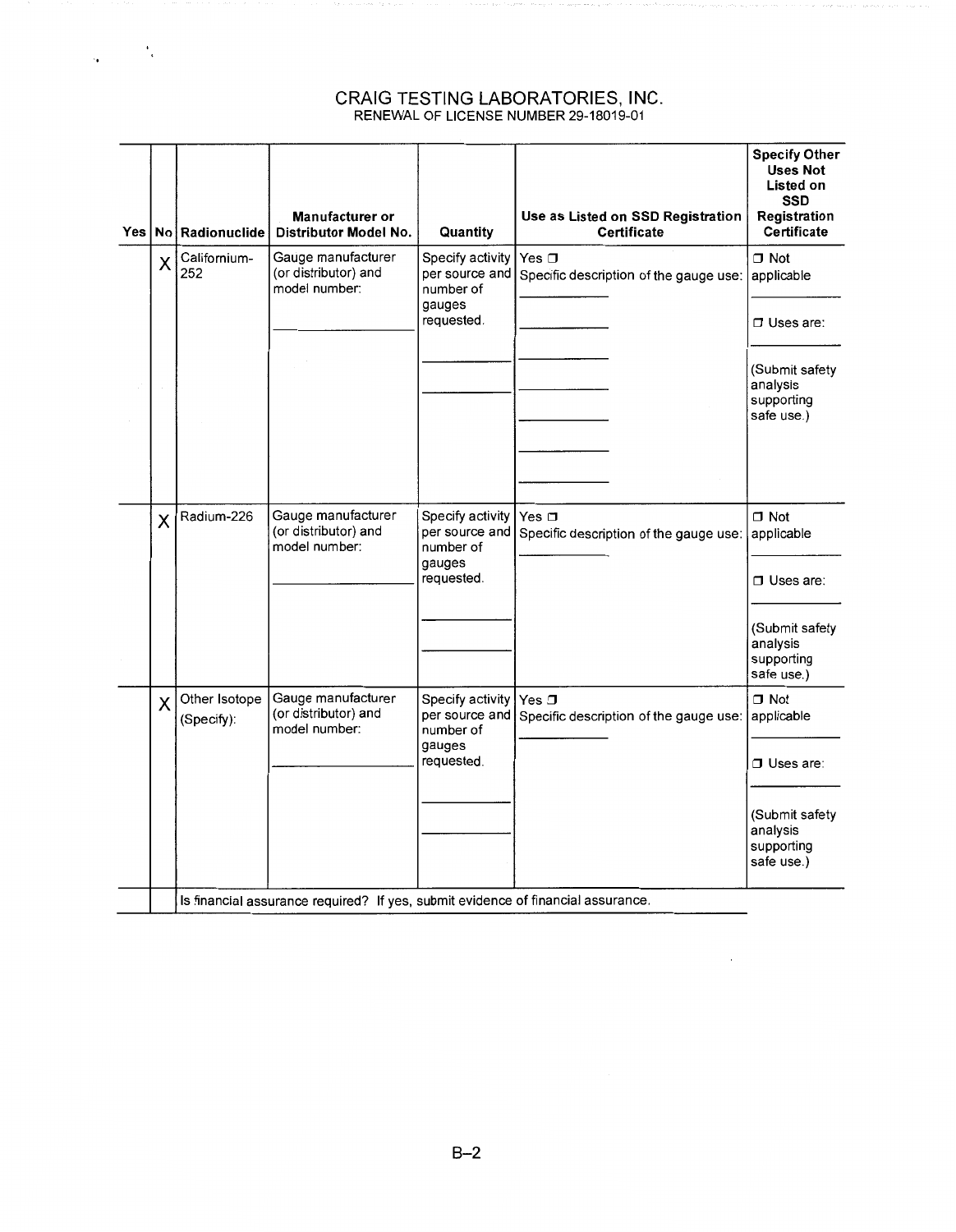$\frac{1}{2} \left( \frac{1}{2} \right)^2$ 

|   | Yes   No   Radionuclide                                                          | Manufacturer or<br>Distributor Model No.                    | Quantity                                                                | Use as Listed on SSD Registration<br>Certificate                | <b>Specify Other</b><br><b>Uses Not</b><br>Listed on<br><b>SSD</b><br>Registration<br>Certificate      |
|---|----------------------------------------------------------------------------------|-------------------------------------------------------------|-------------------------------------------------------------------------|-----------------------------------------------------------------|--------------------------------------------------------------------------------------------------------|
| Χ | Californium-<br>252                                                              | Gauge manufacturer<br>(or distributor) and<br>model number: | Specify activity<br>per source and<br>number of<br>gauges<br>requested. | Yes $\Box$<br>Specific description of the gauge use: applicable | $\Box$ Not<br>$\Box$ Uses are:<br>(Submit safety<br>analysis<br>supporting<br>safe use.)               |
| X | Radium-226                                                                       | Gauge manufacturer<br>(or distributor) and<br>model number: | Specify activity<br>per source and<br>number of<br>gauges<br>requested. | Yes □<br>Specific description of the gauge use:                 | $\Box$ Not<br>applicable<br>$\Box$ Uses are:<br>(Submit safety<br>analysis<br>supporting<br>safe use.) |
| X | Other Isotope<br>(Specify):                                                      | Gauge manufacturer<br>(or distributor) and<br>model number: | Specify activity<br>per source and<br>number of<br>gauges<br>requested. | Yes $\square$<br>Specific description of the gauge use:         | $\Box$ Not<br>applicable<br>$\Box$ Uses are:<br>(Submit safety<br>analysis<br>supporting<br>safe use.) |
|   | Is financial assurance required? If yes, submit evidence of financial assurance. |                                                             |                                                                         |                                                                 |                                                                                                        |

 $\mathcal{A}^{\pm}$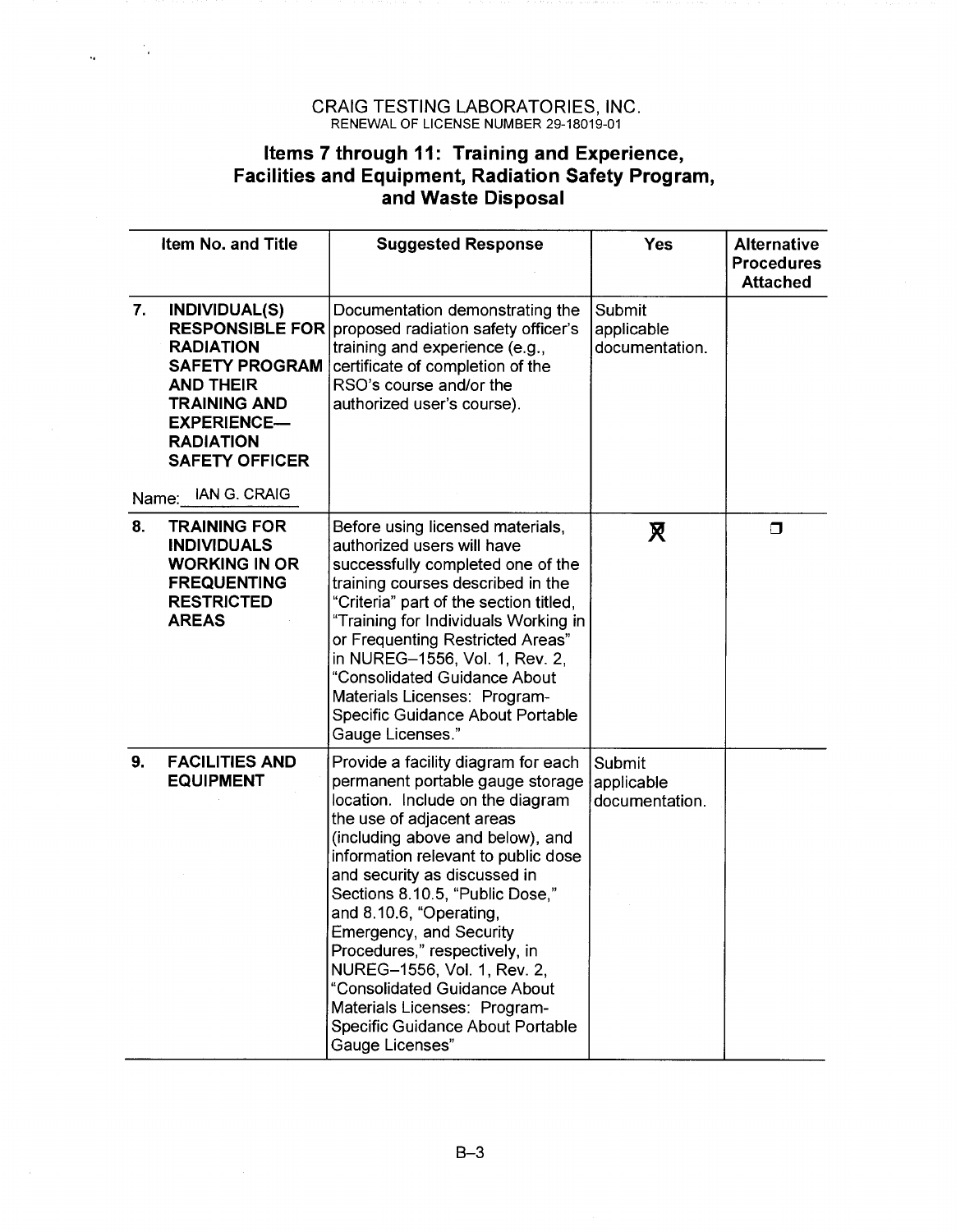$\frac{1}{2} \frac{1}{2} \frac{1}{2} \frac{1}{2} \frac{1}{2} \frac{1}{2} \frac{1}{2} \frac{1}{2} \frac{1}{2} \frac{1}{2} \frac{1}{2} \frac{1}{2} \frac{1}{2} \frac{1}{2} \frac{1}{2} \frac{1}{2} \frac{1}{2} \frac{1}{2} \frac{1}{2} \frac{1}{2} \frac{1}{2} \frac{1}{2} \frac{1}{2} \frac{1}{2} \frac{1}{2} \frac{1}{2} \frac{1}{2} \frac{1}{2} \frac{1}{2} \frac{1}{2} \frac{1}{2} \frac{$ 

## **Items 7 through 11: Training and Experience, Facilities and Equipment, Radiation Safety Program, and Waste Disposal**

|             | Item No. and Title                                                                                                                                                                              | <b>Suggested Response</b>                                                                                                                                                                                                                                                                                                                                                                                                                                                                                                                  | <b>Yes</b>                             | <b>Alternative</b><br><b>Procedures</b><br><b>Attached</b> |
|-------------|-------------------------------------------------------------------------------------------------------------------------------------------------------------------------------------------------|--------------------------------------------------------------------------------------------------------------------------------------------------------------------------------------------------------------------------------------------------------------------------------------------------------------------------------------------------------------------------------------------------------------------------------------------------------------------------------------------------------------------------------------------|----------------------------------------|------------------------------------------------------------|
| 7.<br>Name: | <b>INDIVIDUAL(S)</b><br><b>RADIATION</b><br><b>SAFETY PROGRAM</b><br><b>AND THEIR</b><br><b>TRAINING AND</b><br><b>EXPERIENCE-</b><br><b>RADIATION</b><br><b>SAFETY OFFICER</b><br>IAN G. CRAIG | Documentation demonstrating the<br>RESPONSIBLE FOR proposed radiation safety officer's<br>training and experience (e.g.,<br>certificate of completion of the<br>RSO's course and/or the<br>authorized user's course).                                                                                                                                                                                                                                                                                                                      | Submit<br>applicable<br>documentation. |                                                            |
| 8.          | <b>TRAINING FOR</b><br><b>INDIVIDUALS</b><br><b>WORKING IN OR</b><br><b>FREQUENTING</b><br><b>RESTRICTED</b><br><b>AREAS</b>                                                                    | Before using licensed materials,<br>authorized users will have<br>successfully completed one of the<br>training courses described in the<br>"Criteria" part of the section titled,<br>"Training for Individuals Working in<br>or Frequenting Restricted Areas"<br>in NUREG-1556, Vol. 1, Rev. 2,<br>"Consolidated Guidance About<br>Materials Licenses: Program-<br>Specific Guidance About Portable<br>Gauge Licenses."                                                                                                                   | R                                      | σ                                                          |
| 9.          | <b>FACILITIES AND</b><br><b>EQUIPMENT</b>                                                                                                                                                       | Provide a facility diagram for each<br>permanent portable gauge storage<br>location. Include on the diagram<br>the use of adjacent areas<br>(including above and below), and<br>information relevant to public dose<br>and security as discussed in<br>Sections 8.10.5, "Public Dose,"<br>and 8.10.6, "Operating,<br>Emergency, and Security<br>Procedures," respectively, in<br>NUREG-1556, Vol. 1, Rev. 2,<br>"Consolidated Guidance About<br>Materials Licenses: Program-<br><b>Specific Guidance About Portable</b><br>Gauge Licenses" | Submit<br>applicable<br>documentation. |                                                            |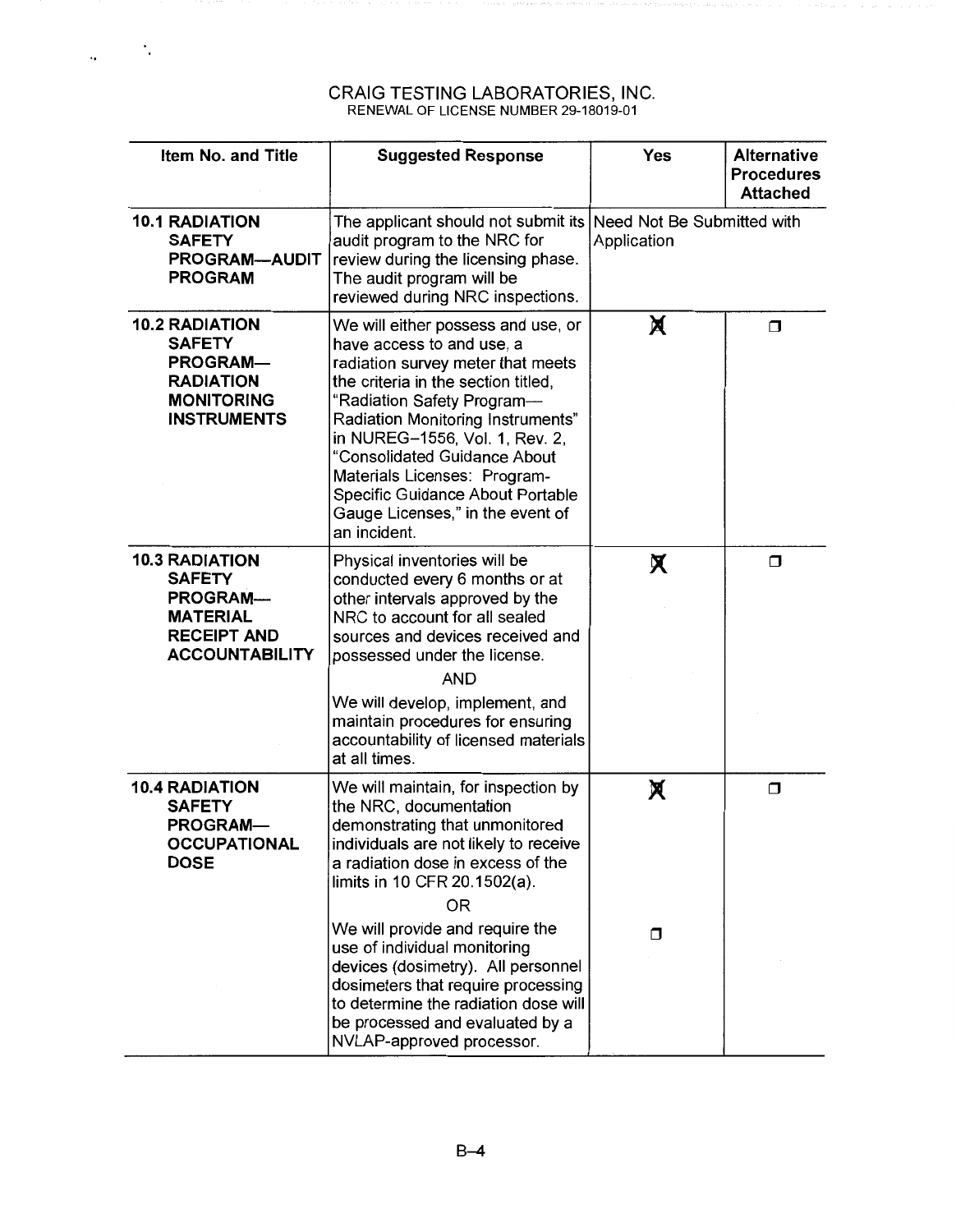$\zeta \in \mathbb{R}^N$ 

| <b>Item No. and Title</b>                                                                                                   | <b>Suggested Response</b>                                                                                                                                                                                                                                                                                                                                                                                                                                 | <b>Yes</b>  | <b>Alternative</b><br><b>Procedures</b><br><b>Attached</b> |
|-----------------------------------------------------------------------------------------------------------------------------|-----------------------------------------------------------------------------------------------------------------------------------------------------------------------------------------------------------------------------------------------------------------------------------------------------------------------------------------------------------------------------------------------------------------------------------------------------------|-------------|------------------------------------------------------------|
| <b>10.1 RADIATION</b><br><b>SAFETY</b><br><b>PROGRAM-AUDIT</b><br><b>PROGRAM</b>                                            | The applicant should not submit its Need Not Be Submitted with<br>audit program to the NRC for<br>review during the licensing phase.<br>The audit program will be<br>reviewed during NRC inspections.                                                                                                                                                                                                                                                     | Application |                                                            |
| <b>10.2 RADIATION</b><br><b>SAFETY</b><br><b>PROGRAM-</b><br><b>RADIATION</b><br><b>MONITORING</b><br><b>INSTRUMENTS</b>    | We will either possess and use, or<br>have access to and use, a<br>radiation survey meter that meets<br>the criteria in the section titled,<br>"Radiation Safety Program-<br>Radiation Monitoring Instruments"<br>in NUREG-1556, Vol. 1, Rev. 2,<br>"Consolidated Guidance About<br>Materials Licenses: Program-<br>Specific Guidance About Portable<br>Gauge Licenses," in the event of<br>an incident.                                                  | X           | Ω                                                          |
| <b>10.3 RADIATION</b><br><b>SAFETY</b><br><b>PROGRAM-</b><br><b>MATERIAL</b><br><b>RECEIPT AND</b><br><b>ACCOUNTABILITY</b> | Physical inventories will be<br>conducted every 6 months or at<br>other intervals approved by the<br>NRC to account for all sealed<br>sources and devices received and<br>possessed under the license.<br><b>AND</b><br>We will develop, implement, and<br>maintain procedures for ensuring<br>accountability of licensed materials<br>at all times.                                                                                                      | X.          | $\Box$                                                     |
| <b>10.4 RADIATION</b><br><b>SAFETY</b><br><b>PROGRAM-</b><br><b>OCCUPATIONAL</b><br><b>DOSE</b>                             | We will maintain, for inspection by<br>the NRC, documentation<br>demonstrating that unmonitored<br>individuals are not likely to receive<br>a radiation dose in excess of the<br>limits in 10 CFR 20.1502(a).<br>0 <sub>R</sub><br>We will provide and require the<br>use of individual monitoring<br>devices (dosimetry). All personnel<br>dosimeters that require processing<br>to determine the radiation dose will<br>be processed and evaluated by a | X<br>$\Box$ | $\Box$                                                     |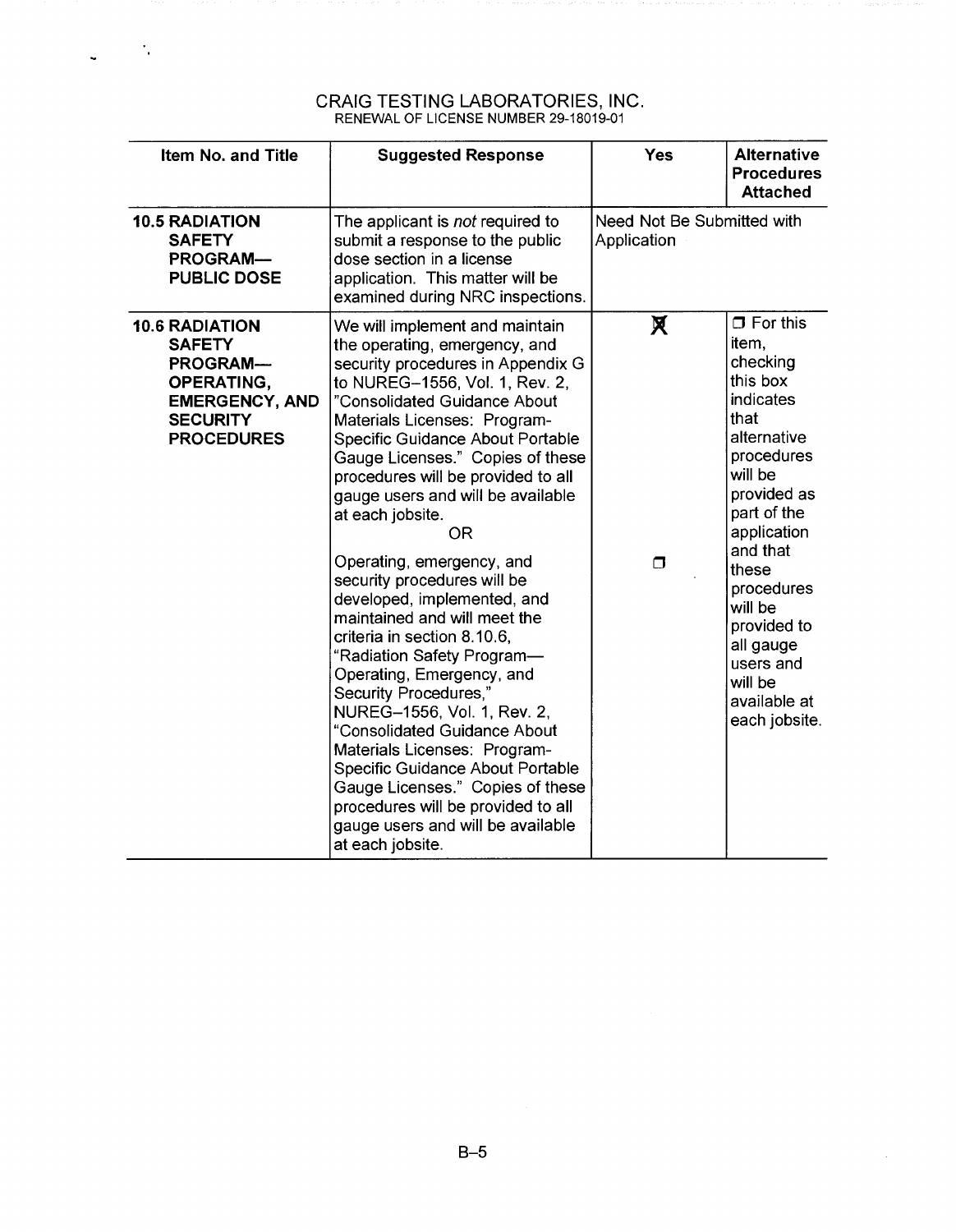$\sim 10^{11}$ 

L.

 $\rho$  possible  $\gamma$  ,  $\gamma$  ,  $\gamma$ 

 $\hat{\mathcal{L}}$ 

| Item No. and Title                                                                                                                              | <b>Suggested Response</b>                                                                                                                                                                                                                                                                                                                                                                                                                                                                                                                                                                                                                                                                                                                                                                                                                                                                                      | <b>Yes</b>                                | <b>Alternative</b><br><b>Procedures</b><br><b>Attached</b>                                                                                                                                                                                                                                    |
|-------------------------------------------------------------------------------------------------------------------------------------------------|----------------------------------------------------------------------------------------------------------------------------------------------------------------------------------------------------------------------------------------------------------------------------------------------------------------------------------------------------------------------------------------------------------------------------------------------------------------------------------------------------------------------------------------------------------------------------------------------------------------------------------------------------------------------------------------------------------------------------------------------------------------------------------------------------------------------------------------------------------------------------------------------------------------|-------------------------------------------|-----------------------------------------------------------------------------------------------------------------------------------------------------------------------------------------------------------------------------------------------------------------------------------------------|
| <b>10.5 RADIATION</b><br><b>SAFETY</b><br><b>PROGRAM-</b><br><b>PUBLIC DOSE</b>                                                                 | The applicant is not required to<br>submit a response to the public<br>dose section in a license<br>application. This matter will be<br>examined during NRC inspections.                                                                                                                                                                                                                                                                                                                                                                                                                                                                                                                                                                                                                                                                                                                                       | Need Not Be Submitted with<br>Application |                                                                                                                                                                                                                                                                                               |
| <b>10.6 RADIATION</b><br><b>SAFETY</b><br><b>PROGRAM-</b><br><b>OPERATING,</b><br><b>EMERGENCY, AND</b><br><b>SECURITY</b><br><b>PROCEDURES</b> | We will implement and maintain<br>the operating, emergency, and<br>security procedures in Appendix G<br>to NUREG-1556, Vol. 1, Rev. 2,<br>"Consolidated Guidance About<br>Materials Licenses: Program-<br>Specific Guidance About Portable<br>Gauge Licenses." Copies of these<br>procedures will be provided to all<br>gauge users and will be available<br>at each jobsite.<br><b>OR</b><br>Operating, emergency, and<br>security procedures will be<br>developed, implemented, and<br>maintained and will meet the<br>criteria in section 8.10.6,<br>"Radiation Safety Program-<br>Operating, Emergency, and<br>Security Procedures,"<br>NUREG-1556, Vol. 1, Rev. 2,<br>"Consolidated Guidance About<br>Materials Licenses: Program-<br>Specific Guidance About Portable<br>Gauge Licenses." Copies of these<br>procedures will be provided to all<br>gauge users and will be available<br>at each jobsite. | Х<br>$\Box$                               | $\Box$ For this<br>item,<br>checking<br>this box<br>indicates<br>that<br>alternative<br>procedures<br>will be<br>provided as<br>part of the<br>application<br>and that<br>these<br>procedures<br>will be<br>provided to<br>all gauge<br>users and<br>will be<br>available at<br>each jobsite. |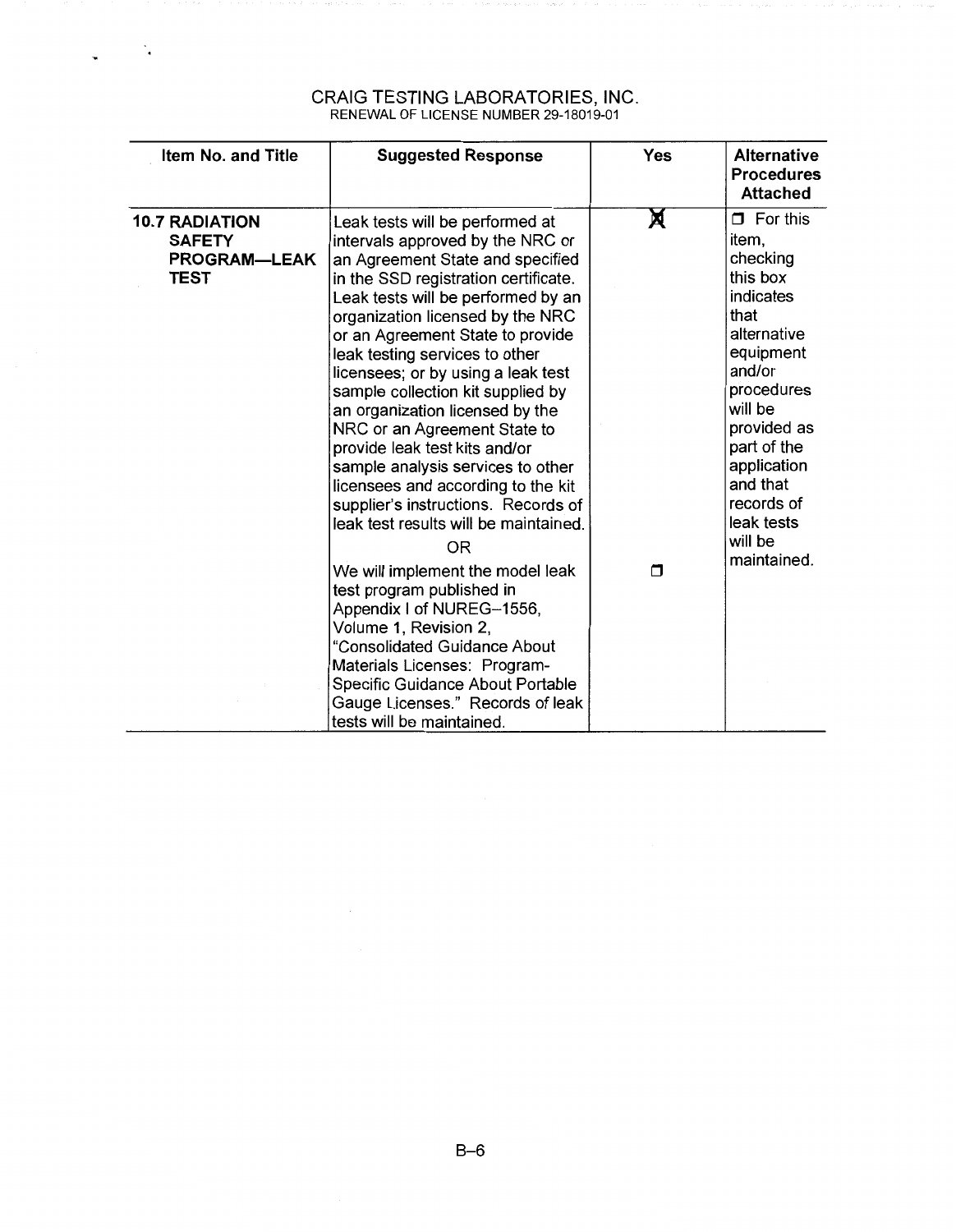| Item No. and Title                                                           | <b>Suggested Response</b>                                                                                                                                                                                                                                                                                                                                                                                                                                                                                                                                                                                                                                                                                                                                                                                                                                                                                                                          | <b>Yes</b> | <b>Alternative</b><br><b>Procedures</b><br><b>Attached</b>                                                                                                                                                                                          |
|------------------------------------------------------------------------------|----------------------------------------------------------------------------------------------------------------------------------------------------------------------------------------------------------------------------------------------------------------------------------------------------------------------------------------------------------------------------------------------------------------------------------------------------------------------------------------------------------------------------------------------------------------------------------------------------------------------------------------------------------------------------------------------------------------------------------------------------------------------------------------------------------------------------------------------------------------------------------------------------------------------------------------------------|------------|-----------------------------------------------------------------------------------------------------------------------------------------------------------------------------------------------------------------------------------------------------|
| <b>10.7 RADIATION</b><br><b>SAFETY</b><br><b>PROGRAM—LEAK</b><br><b>TEST</b> | Leak tests will be performed at<br>intervals approved by the NRC or<br>an Agreement State and specified<br>in the SSD registration certificate.<br>Leak tests will be performed by an<br>organization licensed by the NRC<br>or an Agreement State to provide<br>leak testing services to other<br>licensees; or by using a leak test<br>sample collection kit supplied by<br>an organization licensed by the<br>NRC or an Agreement State to<br>provide leak test kits and/or<br>sample analysis services to other<br>licensees and according to the kit<br>supplier's instructions. Records of<br>leak test results will be maintained.<br><b>OR</b><br>We will implement the model leak<br>test program published in<br>Appendix I of NUREG-1556,<br>Volume 1, Revision 2,<br>"Consolidated Guidance About<br>Materials Licenses: Program-<br>Specific Guidance About Portable<br>Gauge Licenses." Records of leak<br>tests will be maintained. | X<br>n     | $\Box$ For this<br>item,<br>checking<br>this box<br>indicates<br>that<br>alternative<br>equipment<br>and/or<br>procedures<br>will be<br>provided as<br>part of the<br>application<br>and that<br>records of<br>leak tests<br>will be<br>maintained. |

 $\frac{1}{2}$  ,  $\frac{1}{2}$  ,  $\frac{1}{2}$